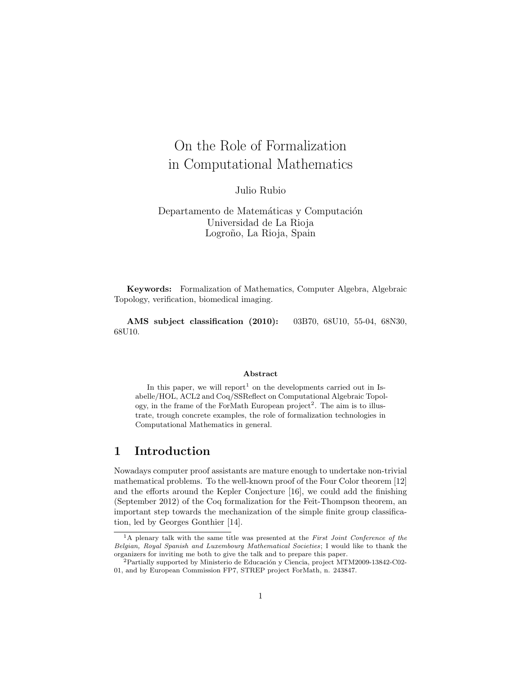# On the Role of Formalization in Computational Mathematics

Julio Rubio

Departamento de Matemáticas y Computación Universidad de La Rioja Logroño, La Rioja, Spain

Keywords: Formalization of Mathematics, Computer Algebra, Algebraic Topology, verification, biomedical imaging.

AMS subject classification (2010): 03B70, 68U10, 55-04, 68N30, 68U10.

#### Abstract

In this paper, we will report<sup>1</sup> on the developments carried out in Isabelle/HOL, ACL2 and Coq/SSReflect on Computational Algebraic Topology, in the frame of the ForMath European project<sup>2</sup>. The aim is to illustrate, trough concrete examples, the role of formalization technologies in Computational Mathematics in general.

#### 1 Introduction

Nowadays computer proof assistants are mature enough to undertake non-trivial mathematical problems. To the well-known proof of the Four Color theorem [12] and the efforts around the Kepler Conjecture [16], we could add the finishing (September 2012) of the Coq formalization for the Feit-Thompson theorem, an important step towards the mechanization of the simple finite group classification, led by Georges Gonthier [14].

<sup>&</sup>lt;sup>1</sup>A plenary talk with the same title was presented at the First Joint Conference of the Belgian, Royal Spanish and Luxembourg Mathematical Societies; I would like to thank the organizers for inviting me both to give the talk and to prepare this paper.

 ${}^{2}$ Partially supported by Ministerio de Educación y Ciencia, project MTM2009-13842-C02-01, and by European Commission FP7, STREP project ForMath, n. 243847.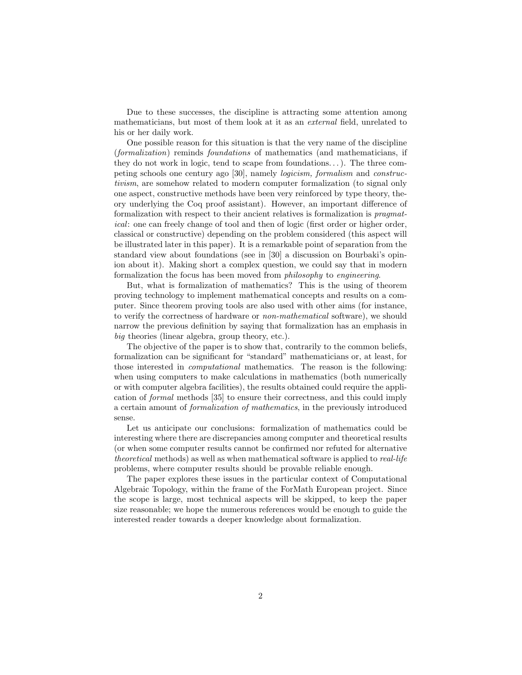Due to these successes, the discipline is attracting some attention among mathematicians, but most of them look at it as an external field, unrelated to his or her daily work.

One possible reason for this situation is that the very name of the discipline (formalization) reminds foundations of mathematics (and mathematicians, if they do not work in logic, tend to scape from foundations...). The three competing schools one century ago [30], namely logicism, formalism and constructivism, are somehow related to modern computer formalization (to signal only one aspect, constructive methods have been very reinforced by type theory, theory underlying the Coq proof assistant). However, an important difference of formalization with respect to their ancient relatives is formalization is pragmatical: one can freely change of tool and then of logic (first order or higher order, classical or constructive) depending on the problem considered (this aspect will be illustrated later in this paper). It is a remarkable point of separation from the standard view about foundations (see in [30] a discussion on Bourbaki's opinion about it). Making short a complex question, we could say that in modern formalization the focus has been moved from philosophy to engineering.

But, what is formalization of mathematics? This is the using of theorem proving technology to implement mathematical concepts and results on a computer. Since theorem proving tools are also used with other aims (for instance, to verify the correctness of hardware or non-mathematical software), we should narrow the previous definition by saying that formalization has an emphasis in big theories (linear algebra, group theory, etc.).

The objective of the paper is to show that, contrarily to the common beliefs, formalization can be significant for "standard" mathematicians or, at least, for those interested in computational mathematics. The reason is the following: when using computers to make calculations in mathematics (both numerically or with computer algebra facilities), the results obtained could require the application of formal methods [35] to ensure their correctness, and this could imply a certain amount of formalization of mathematics, in the previously introduced sense.

Let us anticipate our conclusions: formalization of mathematics could be interesting where there are discrepancies among computer and theoretical results (or when some computer results cannot be confirmed nor refuted for alternative theoretical methods) as well as when mathematical software is applied to real-life problems, where computer results should be provable reliable enough.

The paper explores these issues in the particular context of Computational Algebraic Topology, within the frame of the ForMath European project. Since the scope is large, most technical aspects will be skipped, to keep the paper size reasonable; we hope the numerous references would be enough to guide the interested reader towards a deeper knowledge about formalization.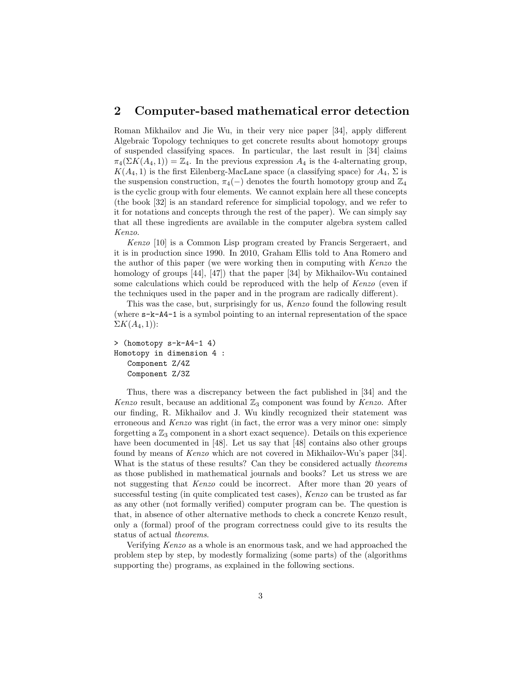#### 2 Computer-based mathematical error detection

Roman Mikhailov and Jie Wu, in their very nice paper [34], apply different Algebraic Topology techniques to get concrete results about homotopy groups of suspended classifying spaces. In particular, the last result in [34] claims  $\pi_4(\Sigma K(A_4, 1)) = \mathbb{Z}_4$ . In the previous expression  $A_4$  is the 4-alternating group,  $K(A<sub>4</sub>, 1)$  is the first Eilenberg-MacLane space (a classifying space) for  $A<sub>4</sub>, \Sigma$  is the suspension construction,  $\pi_4(-)$  denotes the fourth homotopy group and  $\mathbb{Z}_4$ is the cyclic group with four elements. We cannot explain here all these concepts (the book [32] is an standard reference for simplicial topology, and we refer to it for notations and concepts through the rest of the paper). We can simply say that all these ingredients are available in the computer algebra system called Kenzo.

Kenzo [10] is a Common Lisp program created by Francis Sergeraert, and it is in production since 1990. In 2010, Graham Ellis told to Ana Romero and the author of this paper (we were working then in computing with Kenzo the homology of groups [44], [47]) that the paper [34] by Mikhailov-Wu contained some calculations which could be reproduced with the help of Kenzo (even if the techniques used in the paper and in the program are radically different).

This was the case, but, surprisingly for us, Kenzo found the following result (where s-k-A4-1 is a symbol pointing to an internal representation of the space  $\Sigma K(A_4,1)$ :

```
> (homotopy s-k-A4-1 4)
Homotopy in dimension 4 :
   Component Z/4Z
   Component Z/3Z
```
Thus, there was a discrepancy between the fact published in [34] and the Kenzo result, because an additional  $\mathbb{Z}_3$  component was found by Kenzo. After our finding, R. Mikhailov and J. Wu kindly recognized their statement was erroneous and Kenzo was right (in fact, the error was a very minor one: simply forgetting a  $\mathbb{Z}_3$  component in a short exact sequence). Details on this experience have been documented in [48]. Let us say that [48] contains also other groups found by means of Kenzo which are not covered in Mikhailov-Wu's paper [34]. What is the status of these results? Can they be considered actually theorems as those published in mathematical journals and books? Let us stress we are not suggesting that Kenzo could be incorrect. After more than 20 years of successful testing (in quite complicated test cases), Kenzo can be trusted as far as any other (not formally verified) computer program can be. The question is that, in absence of other alternative methods to check a concrete Kenzo result, only a (formal) proof of the program correctness could give to its results the status of actual theorems.

Verifying Kenzo as a whole is an enormous task, and we had approached the problem step by step, by modestly formalizing (some parts) of the (algorithms supporting the) programs, as explained in the following sections.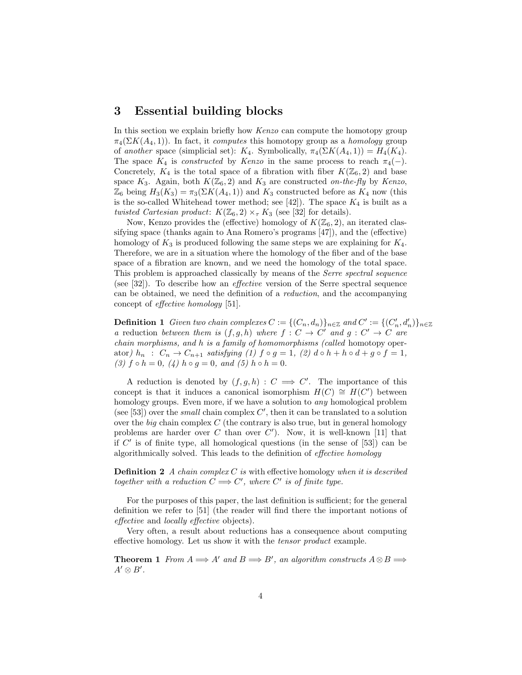#### 3 Essential building blocks

In this section we explain briefly how Kenzo can compute the homotopy group  $\pi_4(\Sigma K(A_4, 1))$ . In fact, it computes this homotopy group as a homology group of another space (simplicial set):  $K_4$ . Symbolically,  $\pi_4(\Sigma K(A_4, 1)) = H_4(K_4)$ . The space  $K_4$  is *constructed* by *Kenzo* in the same process to reach  $\pi_4(-)$ . Concretely,  $K_4$  is the total space of a fibration with fiber  $K(\mathbb{Z}_6, 2)$  and base space  $K_3$ . Again, both  $K(\mathbb{Z}_6, 2)$  and  $K_3$  are constructed on-the-fly by Kenzo,  $\mathbb{Z}_6$  being  $H_3(K_3) = \pi_3(\Sigma K(A_4, 1))$  and  $K_3$  constructed before as  $K_4$  now (this is the so-called Whitehead tower method; see [42]). The space  $K_4$  is built as a twisted Cartesian product:  $K(\mathbb{Z}_6, 2) \times_{\tau} K_3$  (see [32] for details).

Now, Kenzo provides the (effective) homology of  $K(\mathbb{Z}_6, 2)$ , an iterated classifying space (thanks again to Ana Romero's programs [47]), and the (effective) homology of  $K_3$  is produced following the same steps we are explaining for  $K_4$ . Therefore, we are in a situation where the homology of the fiber and of the base space of a fibration are known, and we need the homology of the total space. This problem is approached classically by means of the Serre spectral sequence (see [32]). To describe how an effective version of the Serre spectral sequence can be obtained, we need the definition of a reduction, and the accompanying concept of effective homology [51].

**Definition 1** Given two chain complexes  $C := \{ (C_n, d_n) \}_{n \in \mathbb{Z}}$  and  $C' := \{ (C'_n, d'_n) \}_{n \in \mathbb{Z}}$ a reduction between them is  $(f, g, h)$  where  $f : C \to C'$  and  $g : C' \to C$  are chain morphisms, and h is a family of homomorphisms (called homotopy operator)  $h_n$ :  $C_n \to C_{n+1}$  satisfying (1)  $f \circ g = 1$ , (2)  $d \circ h + h \circ d + g \circ f = 1$ , (3)  $f \circ h = 0$ , (4)  $h \circ g = 0$ , and (5)  $h \circ h = 0$ .

A reduction is denoted by  $(f, g, h) : C \implies C'$ . The importance of this concept is that it induces a canonical isomorphism  $H(C) \cong H(C')$  between homology groups. Even more, if we have a solution to *any* homological problem (see [53]) over the *small* chain complex  $C'$ , then it can be translated to a solution over the big chain complex  $C$  (the contrary is also true, but in general homology problems are harder over  $C$  than over  $C'$ ). Now, it is well-known [11] that if  $C'$  is of finite type, all homological questions (in the sense of  $[53]$ ) can be algorithmically solved. This leads to the definition of effective homology

**Definition 2** A chain complex C is with effective homology when it is described together with a reduction  $C \Longrightarrow C'$ , where C' is of finite type.

For the purposes of this paper, the last definition is sufficient; for the general definition we refer to [51] (the reader will find there the important notions of effective and locally effective objects).

Very often, a result about reductions has a consequence about computing effective homology. Let us show it with the tensor product example.

**Theorem 1** From  $A \implies A'$  and  $B \implies B'$ , an algorithm constructs  $A \otimes B \implies$  $A' \otimes B'$ .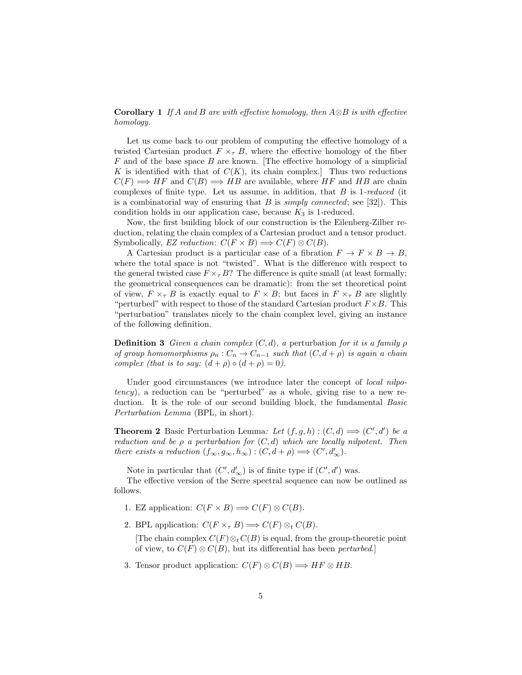**Corollary 1** If A and B are with effective homology, then  $A \otimes B$  is with effective homology.

Let us come back to our problem of computing the effective homology of a twisted Cartesian product  $F \times_{\tau} B$ , where the effective homology of the fiber  $F$  and of the base space  $B$  are known. The effective homology of a simplicial K is identified with that of  $C(K)$ , its chain complex. Thus two reductions  $C(F) \Longrightarrow HF$  and  $C(B) \Longrightarrow HB$  are available, where HF and HB are chain complexes of finite type. Let us assume, in addition, that  $B$  is 1-reduced (it is a combinatorial way of ensuring that B is *simply connected*; see [32]). This condition holds in our application case, because  $K_3$  is 1-reduced.

Now, the first building block of our construction is the Eilenberg-Zilber reduction, relating the chain complex of a Cartesian product and a tensor product. Symbolically, EZ reduction:  $C(F \times B) \Longrightarrow C(F) \otimes C(B)$ .

A Cartesian product is a particular case of a fibration  $F \to F \times B \to B$ , where the total space is not "twisted". What is the difference with respect to the general twisted case  $F \times_{\tau} B$ ? The difference is quite small (at least formally; the geometrical consequences can be dramatic): from the set theoretical point of view,  $F \times_{\tau} B$  is exactly equal to  $F \times B$ ; but faces in  $F \times_{\tau} B$  are slightly "perturbed" with respect to those of the standard Cartesian product  $F \times B$ . This "perturbation" translates nicely to the chain complex level, giving an instance of the following definition.

**Definition 3** Given a chain complex  $(C, d)$ , a perturbation for it is a family  $\rho$ of group homomorphisms  $\rho_n : C_n \to C_{n-1}$  such that  $(C, d + \rho)$  is again a chain complex (that is to say:  $(d + \rho) \circ (d + \rho) = 0$ ).

Under good circumstances (we introduce later the concept of *local nilpo*tency), a reduction can be "perturbed" as a whole, giving rise to a new reduction. It is the role of our second building block, the fundamental Basic Perturbation Lemma (BPL, in short).

**Theorem 2** Basic Perturbation Lemma: Let  $(f, g, h) : (C, d) \Longrightarrow (C', d')$  be a reduction and be  $\rho$  a perturbation for  $(C, d)$  which are locally nilpotent. Then there exists a reduction  $(f_{\infty}, g_{\infty}, h_{\infty}) : (C, d + \rho) \Longrightarrow (C', d'_{\infty}).$ 

Note in particular that  $(C', d'_{\infty})$  is of finite type if  $(C', d')$  was.

The effective version of the Serre spectral sequence can now be outlined as follows.

- 1. EZ application:  $C(F \times B) \Longrightarrow C(F) \otimes C(B)$ .
- 2. BPL application:  $C(F \times_{\tau} B) \Longrightarrow C(F) \otimes_t C(B)$ .

[The chain complex  $C(F) \otimes_t C(B)$  is equal, from the group-theoretic point of view, to  $C(F) \otimes C(B)$ , but its differential has been *perturbed*.]

3. Tensor product application:  $C(F) \otimes C(B) \Longrightarrow HF \otimes HB$ .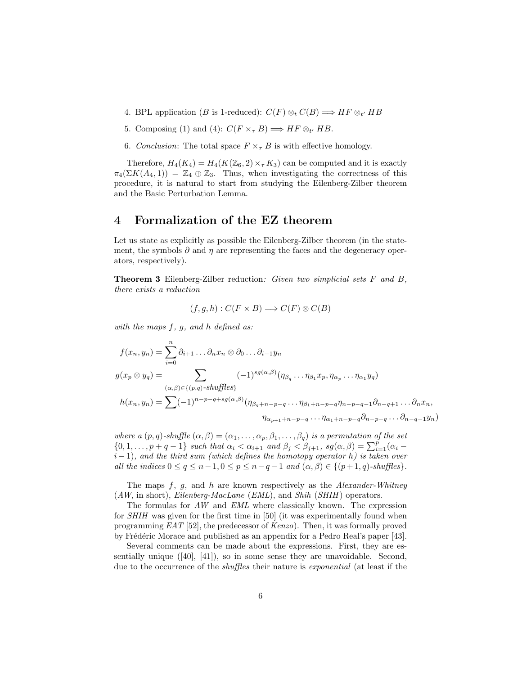- 4. BPL application (B is 1-reduced):  $C(F) \otimes_t C(B) \Longrightarrow HF \otimes_{t'} HB$
- 5. Composing (1) and (4):  $C(F \times_{\tau} B) \Longrightarrow HF \otimes_{t'} HB$ .
- 6. Conclusion: The total space  $F \times_{\tau} B$  is with effective homology.

Therefore,  $H_4(K_4) = H_4(K(\mathbb{Z}_6, 2) \times_\tau K_3)$  can be computed and it is exactly  $\pi_4(\Sigma K(A_4, 1)) = \mathbb{Z}_4 \oplus \mathbb{Z}_3$ . Thus, when investigating the correctness of this procedure, it is natural to start from studying the Eilenberg-Zilber theorem and the Basic Perturbation Lemma.

# 4 Formalization of the EZ theorem

Let us state as explicitly as possible the Eilenberg-Zilber theorem (in the statement, the symbols  $\partial$  and  $\eta$  are representing the faces and the degeneracy operators, respectively).

**Theorem 3** Eilenberg-Zilber reduction: Given two simplicial sets  $F$  and  $B$ , there exists a reduction

$$
(f, g, h) : C(F \times B) \Longrightarrow C(F) \otimes C(B)
$$

with the maps  $f, g, and h$  defined as:

$$
f(x_n, y_n) = \sum_{i=0}^n \partial_{i+1} \dots \partial_n x_n \otimes \partial_0 \dots \partial_{i-1} y_n
$$
  
\n
$$
g(x_p \otimes y_q) = \sum_{(\alpha, \beta) \in \{(p,q)\}\text{-}shuffles\}
$$
  
\n
$$
h(x_n, y_n) = \sum_{(n, \beta) \in \{(p,q)\}\text{-}shuffles\}
$$
  
\n
$$
h(x_n, y_n) = \sum_{(n, \beta) \in \{(p,q)\}\text{-}h^n - p - q + sg(\alpha, \beta)} \left(\eta_{\beta_q + n - p - q} \dots \eta_{\beta_1 + n - p - q} \eta_{n - p - q - 1} \partial_{n - q + 1} \dots \partial_n x_n\right)
$$

 $\eta_{\alpha_{p+1}+n-p-q} \ldots \eta_{\alpha_1+n-p-q} \partial_{n-p-q} \ldots \partial_{n-q-1} y_n$ 

where a  $(p, q)$ -shuffle  $(\alpha, \beta) = (\alpha_1, \ldots, \alpha_p, \beta_1, \ldots, \beta_q)$  is a permutation of the set  $\{0, 1, \ldots, p + q - 1\}$  such that  $\alpha_i < \alpha_{i+1}$  and  $\beta_j < \beta_{j+1}$ ,  $sg(\alpha, \beta) = \sum_{i=1}^p (\alpha_i - \beta_i)$  $i-1$ ), and the third sum (which defines the homotopy operator h) is taken over all the indices  $0 \le q \le n-1, 0 \le p \le n-q-1$  and  $(\alpha, \beta) \in \{(p+1, q)\text{-}shuffles\}.$ 

The maps  $f, g$ , and h are known respectively as the Alexander-Whitney  $(AW, \text{in short}),$  Eilenberg-MacLane (EML), and Shih (SHIH) operators.

The formulas for AW and EML where classically known. The expression for SHIH was given for the first time in [50] (it was experimentally found when programming EAT [52], the predecessor of Kenzo). Then, it was formally proved by Frédéric Morace and published as an appendix for a Pedro Real's paper [43].

Several comments can be made about the expressions. First, they are essentially unique ([40], [41]), so in some sense they are unavoidable. Second, due to the occurrence of the *shuffles* their nature is *exponential* (at least if the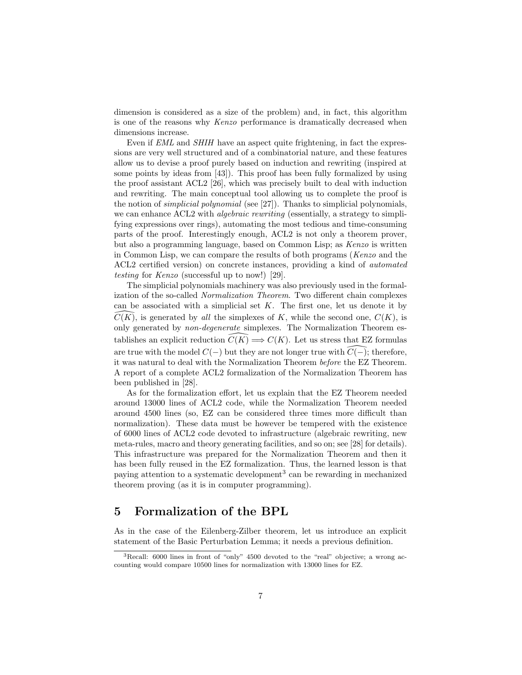dimension is considered as a size of the problem) and, in fact, this algorithm is one of the reasons why Kenzo performance is dramatically decreased when dimensions increase.

Even if EML and SHIH have an aspect quite frightening, in fact the expressions are very well structured and of a combinatorial nature, and these features allow us to devise a proof purely based on induction and rewriting (inspired at some points by ideas from [43]). This proof has been fully formalized by using the proof assistant ACL2 [26], which was precisely built to deal with induction and rewriting. The main conceptual tool allowing us to complete the proof is the notion of simplicial polynomial (see [27]). Thanks to simplicial polynomials, we can enhance ACL2 with *algebraic rewriting* (essentially, a strategy to simplifying expressions over rings), automating the most tedious and time-consuming parts of the proof. Interestingly enough, ACL2 is not only a theorem prover, but also a programming language, based on Common Lisp; as Kenzo is written in Common Lisp, we can compare the results of both programs (Kenzo and the ACL2 certified version) on concrete instances, providing a kind of automated testing for Kenzo (successful up to now!) [29].

The simplicial polynomials machinery was also previously used in the formalization of the so-called Normalization Theorem. Two different chain complexes can be associated with a simplicial set  $K$ . The first one, let us denote it by  $C(K)$ , is generated by all the simplexes of K, while the second one,  $C(K)$ , is only generated by non-degenerate simplexes. The Normalization Theorem establishes an explicit reduction  $C(K) \Longrightarrow C(K)$ . Let us stress that EZ formulas are true with the model  $C(-)$  but they are not longer true with  $\widetilde{C}(-)$ ; therefore, it was natural to deal with the Normalization Theorem before the EZ Theorem. A report of a complete ACL2 formalization of the Normalization Theorem has been published in [28].

As for the formalization effort, let us explain that the EZ Theorem needed around 13000 lines of ACL2 code, while the Normalization Theorem needed around 4500 lines (so, EZ can be considered three times more difficult than normalization). These data must be however be tempered with the existence of 6000 lines of ACL2 code devoted to infrastructure (algebraic rewriting, new meta-rules, macro and theory generating facilities, and so on; see [28] for details). This infrastructure was prepared for the Normalization Theorem and then it has been fully reused in the EZ formalization. Thus, the learned lesson is that paying attention to a systematic development<sup>3</sup> can be rewarding in mechanized theorem proving (as it is in computer programming).

# 5 Formalization of the BPL

As in the case of the Eilenberg-Zilber theorem, let us introduce an explicit statement of the Basic Perturbation Lemma; it needs a previous definition.

 $3$ Recall: 6000 lines in front of "only" 4500 devoted to the "real" objective; a wrong accounting would compare 10500 lines for normalization with 13000 lines for EZ.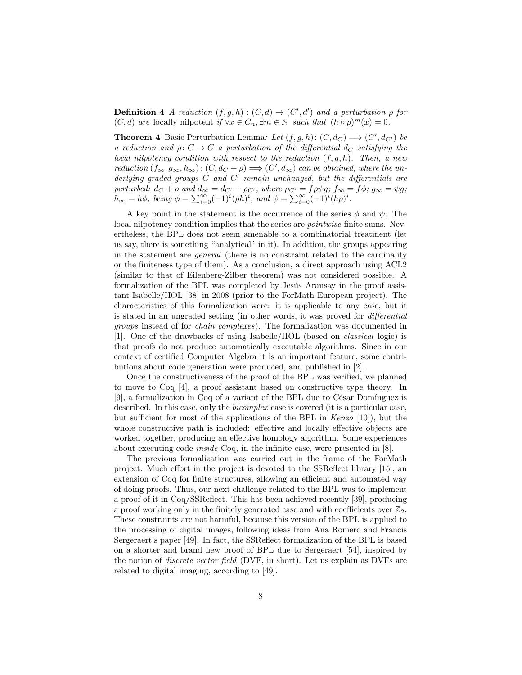**Definition 4** A reduction  $(f, g, h) : (C, d) \rightarrow (C', d')$  and a perturbation  $\rho$  for  $(C, d)$  are locally nilpotent if  $\forall x \in C_n$ ,  $\exists m \in \mathbb{N}$  such that  $(h \circ \rho)^m(x) = 0$ .

**Theorem 4** Basic Perturbation Lemma: Let  $(f, g, h)$ :  $(C, d_C) \Longrightarrow (C', d_{C'})$  be a reduction and  $\rho: C \to C$  a perturbation of the differential  $d_C$  satisfying the local nilpotency condition with respect to the reduction  $(f, g, h)$ . Then, a new reduction  $(f_{\infty}, g_{\infty}, h_{\infty})$ :  $(C, d_C + \rho) \Longrightarrow (C', d_{\infty})$  can be obtained, where the underlying graded groups  $C$  and  $C'$  remain unchanged, but the differentials are perturbed:  $d_C + \rho$  and  $d_{\infty} = d_{C'} + \rho_{C'}$ , where  $\rho_{C'} = f \rho \psi g$ ;  $f_{\infty} = f \phi$ ;  $g_{\infty} = \psi g$ ;  $h_{\infty} = h\phi$ , being  $\phi = \sum_{i=0}^{\infty} (-1)^i (\rho h)^i$ , and  $\psi = \sum_{i=0}^{\infty} (-1)^i (h\rho)^i$ .

A key point in the statement is the occurrence of the series  $\phi$  and  $\psi$ . The local nilpotency condition implies that the series are *pointwise* finite sums. Nevertheless, the BPL does not seem amenable to a combinatorial treatment (let us say, there is something "analytical" in it). In addition, the groups appearing in the statement are general (there is no constraint related to the cardinality or the finiteness type of them). As a conclusion, a direct approach using ACL2 (similar to that of Eilenberg-Zilber theorem) was not considered possible. A formalization of the BPL was completed by Jesús Aransay in the proof assistant Isabelle/HOL [38] in 2008 (prior to the ForMath European project). The characteristics of this formalization were: it is applicable to any case, but it is stated in an ungraded setting (in other words, it was proved for differential groups instead of for chain complexes). The formalization was documented in [1]. One of the drawbacks of using Isabelle/HOL (based on classical logic) is that proofs do not produce automatically executable algorithms. Since in our context of certified Computer Algebra it is an important feature, some contributions about code generation were produced, and published in [2].

Once the constructiveness of the proof of the BPL was verified, we planned to move to Coq [4], a proof assistant based on constructive type theory. In  $[9]$ , a formalization in Coq of a variant of the BPL due to César Domínguez is described. In this case, only the *bicomplex* case is covered (it is a particular case, but sufficient for most of the applications of the BPL in Kenzo [10]), but the whole constructive path is included: effective and locally effective objects are worked together, producing an effective homology algorithm. Some experiences about executing code inside Coq, in the infinite case, were presented in [8].

The previous formalization was carried out in the frame of the ForMath project. Much effort in the project is devoted to the SSReflect library [15], an extension of Coq for finite structures, allowing an efficient and automated way of doing proofs. Thus, our next challenge related to the BPL was to implement a proof of it in Coq/SSReflect. This has been achieved recently [39], producing a proof working only in the finitely generated case and with coefficients over  $\mathbb{Z}_2$ . These constraints are not harmful, because this version of the BPL is applied to the processing of digital images, following ideas from Ana Romero and Francis Sergeraert's paper [49]. In fact, the SSReflect formalization of the BPL is based on a shorter and brand new proof of BPL due to Sergeraert [54], inspired by the notion of discrete vector field (DVF, in short). Let us explain as DVFs are related to digital imaging, according to [49].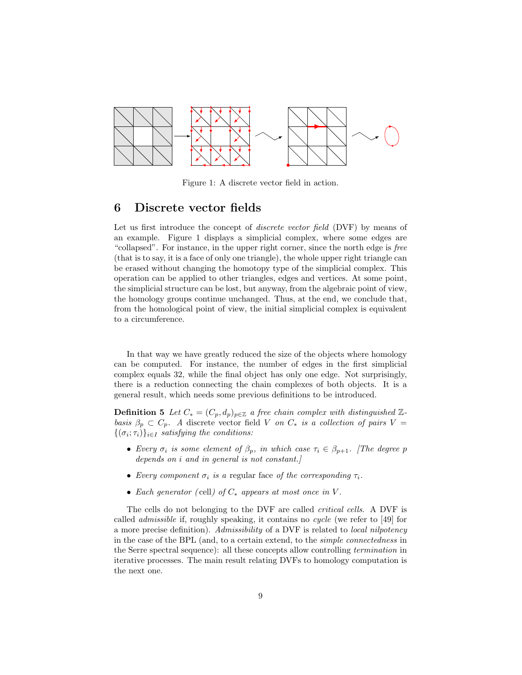

Figure 1: A discrete vector field in action.

#### 6 Discrete vector fields

Let us first introduce the concept of *discrete vector field* (DVF) by means of an example. Figure 1 displays a simplicial complex, where some edges are "collapsed". For instance, in the upper right corner, since the north edge is free (that is to say, it is a face of only one triangle), the whole upper right triangle can be erased without changing the homotopy type of the simplicial complex. This operation can be applied to other triangles, edges and vertices. At some point, the simplicial structure can be lost, but anyway, from the algebraic point of view, the homology groups continue unchanged. Thus, at the end, we conclude that, from the homological point of view, the initial simplicial complex is equivalent to a circumference.

In that way we have greatly reduced the size of the objects where homology can be computed. For instance, the number of edges in the first simplicial complex equals 32, while the final object has only one edge. Not surprisingly, there is a reduction connecting the chain complexes of both objects. It is a general result, which needs some previous definitions to be introduced.

**Definition 5** Let  $C_* = (C_p, d_p)_{p \in \mathbb{Z}}$  a free chain complex with distinguished  $\mathbb{Z}$ basis  $\beta_p \subset C_p$ . A discrete vector field V on  $C_*$  is a collection of pairs V =  $\{(\sigma_i; \tau_i)\}_{i \in I}$  satisfying the conditions:

- Every  $\sigma_i$  is some element of  $\beta_p$ , in which case  $\tau_i \in \beta_{p+1}$ . The degree p depends on i and in general is not constant.]
- Every component  $\sigma_i$  is a regular face of the corresponding  $\tau_i$ .
- Each generator (cell) of  $C_*$  appears at most once in V.

The cells do not belonging to the DVF are called critical cells. A DVF is called admissible if, roughly speaking, it contains no cycle (we refer to [49] for a more precise definition). Admissibility of a DVF is related to local nilpotency in the case of the BPL (and, to a certain extend, to the simple connectedness in the Serre spectral sequence): all these concepts allow controlling termination in iterative processes. The main result relating DVFs to homology computation is the next one.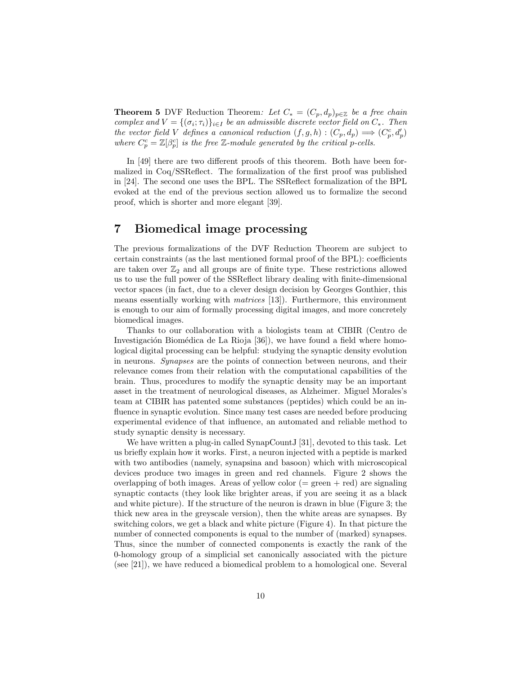**Theorem 5** DVF Reduction Theorem: Let  $C_* = (C_p, d_p)_{p \in \mathbb{Z}}$  be a free chain complex and  $V = \{(\sigma_i; \tau_i)\}_{i \in I}$  be an admissible discrete vector field on  $C_*$ . Then the vector field V defines a canonical reduction  $(f, g, h) : (C_p, d_p) \Longrightarrow (C_p^c, d'_p)$ where  $C_p^c = \mathbb{Z}[\beta_p^c]$  is the free  $\mathbb{Z}$ -module generated by the critical p-cells.

In [49] there are two different proofs of this theorem. Both have been formalized in Coq/SSReflect. The formalization of the first proof was published in [24]. The second one uses the BPL. The SSReflect formalization of the BPL evoked at the end of the previous section allowed us to formalize the second proof, which is shorter and more elegant [39].

# 7 Biomedical image processing

The previous formalizations of the DVF Reduction Theorem are subject to certain constraints (as the last mentioned formal proof of the BPL): coefficients are taken over  $\mathbb{Z}_2$  and all groups are of finite type. These restrictions allowed us to use the full power of the SSReflect library dealing with finite-dimensional vector spaces (in fact, due to a clever design decision by Georges Gonthier, this means essentially working with matrices [13]). Furthermore, this environment is enough to our aim of formally processing digital images, and more concretely biomedical images.

Thanks to our collaboration with a biologists team at CIBIR (Centro de Investigación Biomédica de La Rioja [36]), we have found a field where homological digital processing can be helpful: studying the synaptic density evolution in neurons. Synapses are the points of connection between neurons, and their relevance comes from their relation with the computational capabilities of the brain. Thus, procedures to modify the synaptic density may be an important asset in the treatment of neurological diseases, as Alzheimer. Miguel Morales's team at CIBIR has patented some substances (peptides) which could be an influence in synaptic evolution. Since many test cases are needed before producing experimental evidence of that influence, an automated and reliable method to study synaptic density is necessary.

We have written a plug-in called SynapCount J[31], devoted to this task. Let us briefly explain how it works. First, a neuron injected with a peptide is marked with two antibodies (namely, synapsina and basoon) which with microscopical devices produce two images in green and red channels. Figure 2 shows the overlapping of both images. Areas of yellow color  $(=$  green  $+$  red) are signaling synaptic contacts (they look like brighter areas, if you are seeing it as a black and white picture). If the structure of the neuron is drawn in blue (Figure 3; the thick new area in the greyscale version), then the white areas are synapses. By switching colors, we get a black and white picture (Figure 4). In that picture the number of connected components is equal to the number of (marked) synapses. Thus, since the number of connected components is exactly the rank of the 0-homology group of a simplicial set canonically associated with the picture (see [21]), we have reduced a biomedical problem to a homological one. Several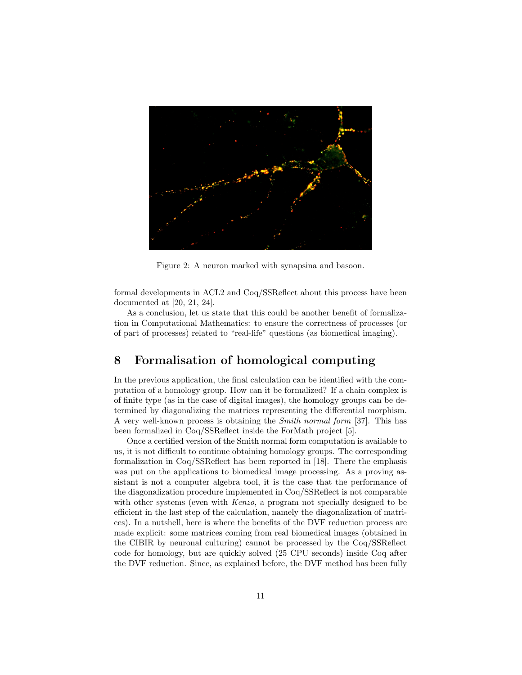

Figure 2: A neuron marked with synapsina and basoon.

formal developments in ACL2 and Coq/SSReflect about this process have been documented at [20, 21, 24].

As a conclusion, let us state that this could be another benefit of formalization in Computational Mathematics: to ensure the correctness of processes (or of part of processes) related to "real-life" questions (as biomedical imaging).

# 8 Formalisation of homological computing

In the previous application, the final calculation can be identified with the computation of a homology group. How can it be formalized? If a chain complex is of finite type (as in the case of digital images), the homology groups can be determined by diagonalizing the matrices representing the differential morphism. A very well-known process is obtaining the Smith normal form [37]. This has been formalized in Coq/SSReflect inside the ForMath project [5].

Once a certified version of the Smith normal form computation is available to us, it is not difficult to continue obtaining homology groups. The corresponding formalization in Coq/SSReflect has been reported in [18]. There the emphasis was put on the applications to biomedical image processing. As a proving assistant is not a computer algebra tool, it is the case that the performance of the diagonalization procedure implemented in Coq/SSReflect is not comparable with other systems (even with *Kenzo*, a program not specially designed to be efficient in the last step of the calculation, namely the diagonalization of matrices). In a nutshell, here is where the benefits of the DVF reduction process are made explicit: some matrices coming from real biomedical images (obtained in the CIBIR by neuronal culturing) cannot be processed by the Coq/SSReflect code for homology, but are quickly solved (25 CPU seconds) inside Coq after the DVF reduction. Since, as explained before, the DVF method has been fully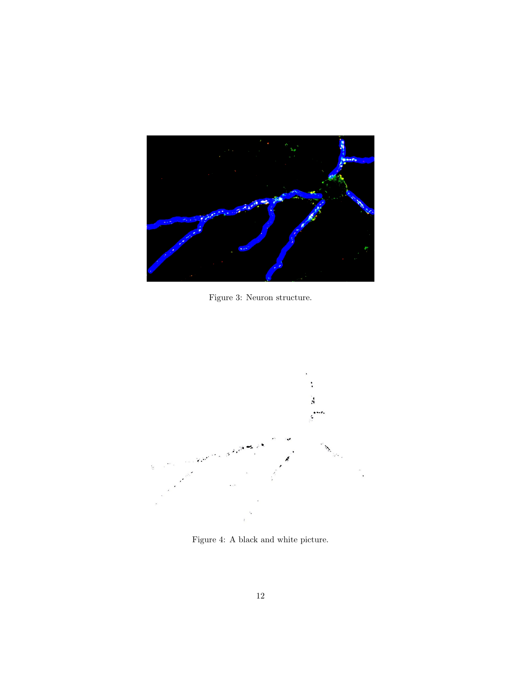

Figure 3: Neuron structure.



Figure 4: A black and white picture.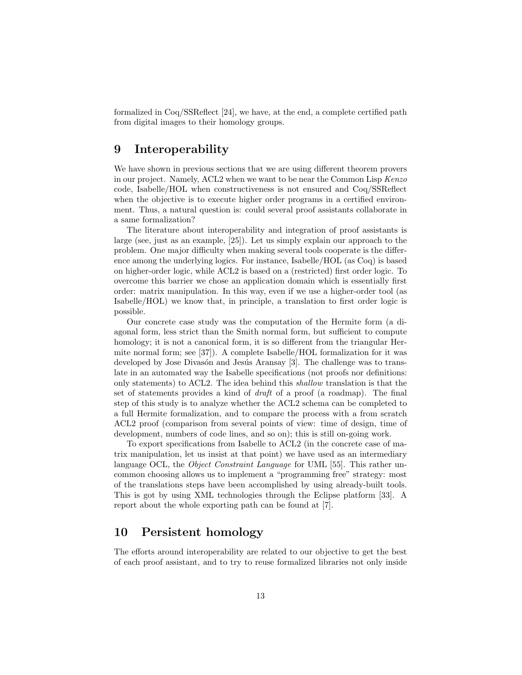formalized in Coq/SSReflect [24], we have, at the end, a complete certified path from digital images to their homology groups.

# 9 Interoperability

We have shown in previous sections that we are using different theorem provers in our project. Namely, ACL2 when we want to be near the Common Lisp Kenzo code, Isabelle/HOL when constructiveness is not ensured and Coq/SSReflect when the objective is to execute higher order programs in a certified environment. Thus, a natural question is: could several proof assistants collaborate in a same formalization?

The literature about interoperability and integration of proof assistants is large (see, just as an example, [25]). Let us simply explain our approach to the problem. One major difficulty when making several tools cooperate is the difference among the underlying logics. For instance, Isabelle/HOL (as Coq) is based on higher-order logic, while ACL2 is based on a (restricted) first order logic. To overcome this barrier we chose an application domain which is essentially first order: matrix manipulation. In this way, even if we use a higher-order tool (as Isabelle/HOL) we know that, in principle, a translation to first order logic is possible.

Our concrete case study was the computation of the Hermite form (a diagonal form, less strict than the Smith normal form, but sufficient to compute homology; it is not a canonical form, it is so different from the triangular Hermite normal form; see [37]). A complete Isabelle/HOL formalization for it was developed by Jose Divasón and Jesús Aransay [3]. The challenge was to translate in an automated way the Isabelle specifications (not proofs nor definitions: only statements) to ACL2. The idea behind this shallow translation is that the set of statements provides a kind of draft of a proof (a roadmap). The final step of this study is to analyze whether the ACL2 schema can be completed to a full Hermite formalization, and to compare the process with a from scratch ACL2 proof (comparison from several points of view: time of design, time of development, numbers of code lines, and so on); this is still on-going work.

To export specifications from Isabelle to ACL2 (in the concrete case of matrix manipulation, let us insist at that point) we have used as an intermediary language OCL, the *Object Constraint Language* for UML [55]. This rather uncommon choosing allows us to implement a "programming free" strategy: most of the translations steps have been accomplished by using already-built tools. This is got by using XML technologies through the Eclipse platform [33]. A report about the whole exporting path can be found at [7].

# 10 Persistent homology

The efforts around interoperability are related to our objective to get the best of each proof assistant, and to try to reuse formalized libraries not only inside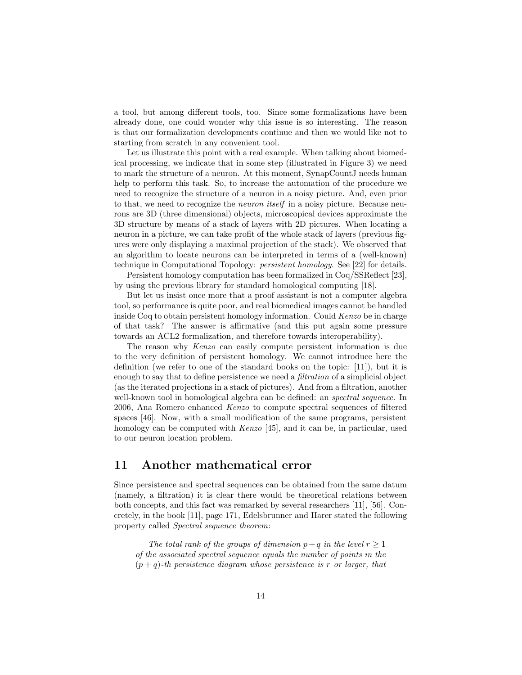a tool, but among different tools, too. Since some formalizations have been already done, one could wonder why this issue is so interesting. The reason is that our formalization developments continue and then we would like not to starting from scratch in any convenient tool.

Let us illustrate this point with a real example. When talking about biomedical processing, we indicate that in some step (illustrated in Figure 3) we need to mark the structure of a neuron. At this moment, SynapCountJ needs human help to perform this task. So, to increase the automation of the procedure we need to recognize the structure of a neuron in a noisy picture. And, even prior to that, we need to recognize the neuron itself in a noisy picture. Because neurons are 3D (three dimensional) objects, microscopical devices approximate the 3D structure by means of a stack of layers with 2D pictures. When locating a neuron in a picture, we can take profit of the whole stack of layers (previous figures were only displaying a maximal projection of the stack). We observed that an algorithm to locate neurons can be interpreted in terms of a (well-known) technique in Computational Topology: persistent homology. See [22] for details.

Persistent homology computation has been formalized in Coq/SSReflect [23], by using the previous library for standard homological computing [18].

But let us insist once more that a proof assistant is not a computer algebra tool, so performance is quite poor, and real biomedical images cannot be handled inside Coq to obtain persistent homology information. Could Kenzo be in charge of that task? The answer is affirmative (and this put again some pressure towards an ACL2 formalization, and therefore towards interoperability).

The reason why Kenzo can easily compute persistent information is due to the very definition of persistent homology. We cannot introduce here the definition (we refer to one of the standard books on the topic: [11]), but it is enough to say that to define persistence we need a filtration of a simplicial object (as the iterated projections in a stack of pictures). And from a filtration, another well-known tool in homological algebra can be defined: an *spectral sequence*. In 2006, Ana Romero enhanced Kenzo to compute spectral sequences of filtered spaces [46]. Now, with a small modification of the same programs, persistent homology can be computed with *Kenzo* [45], and it can be, in particular, used to our neuron location problem.

# 11 Another mathematical error

Since persistence and spectral sequences can be obtained from the same datum (namely, a filtration) it is clear there would be theoretical relations between both concepts, and this fact was remarked by several researchers [11], [56]. Concretely, in the book [11], page 171, Edelsbrunner and Harer stated the following property called Spectral sequence theorem:

The total rank of the groups of dimension  $p+q$  in the level  $r \geq 1$ of the associated spectral sequence equals the number of points in the  $(p+q)$ -th persistence diagram whose persistence is r or larger, that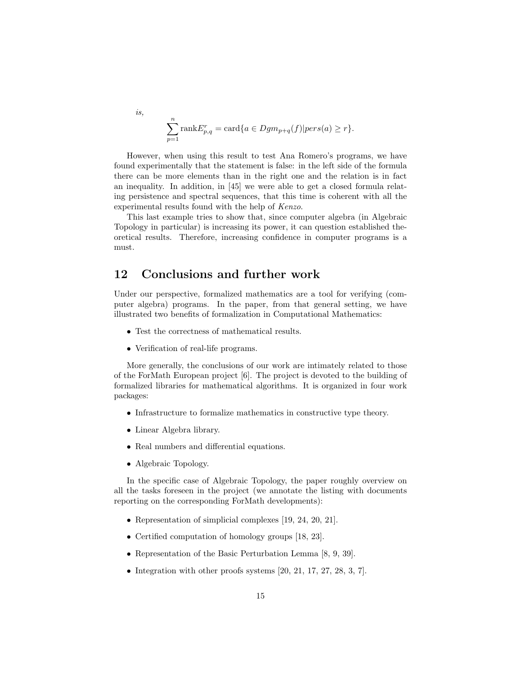$$
\sum_{p=1}^{n} \text{rank} E_{p,q}^{r} = \text{card}\{a \in Dgm_{p+q}(f)|pers(a) \geq r\}.
$$

However, when using this result to test Ana Romero's programs, we have found experimentally that the statement is false: in the left side of the formula there can be more elements than in the right one and the relation is in fact an inequality. In addition, in [45] we were able to get a closed formula relating persistence and spectral sequences, that this time is coherent with all the experimental results found with the help of Kenzo.

This last example tries to show that, since computer algebra (in Algebraic Topology in particular) is increasing its power, it can question established theoretical results. Therefore, increasing confidence in computer programs is a must.

# 12 Conclusions and further work

Under our perspective, formalized mathematics are a tool for verifying (computer algebra) programs. In the paper, from that general setting, we have illustrated two benefits of formalization in Computational Mathematics:

- Test the correctness of mathematical results.
- Verification of real-life programs.

More generally, the conclusions of our work are intimately related to those of the ForMath European project [6]. The project is devoted to the building of formalized libraries for mathematical algorithms. It is organized in four work packages:

- Infrastructure to formalize mathematics in constructive type theory.
- Linear Algebra library.

is,

- Real numbers and differential equations.
- Algebraic Topology.

In the specific case of Algebraic Topology, the paper roughly overview on all the tasks foreseen in the project (we annotate the listing with documents reporting on the corresponding ForMath developments):

- Representation of simplicial complexes [19, 24, 20, 21].
- Certified computation of homology groups [18, 23].
- Representation of the Basic Perturbation Lemma [8, 9, 39].
- Integration with other proofs systems  $[20, 21, 17, 27, 28, 3, 7]$ .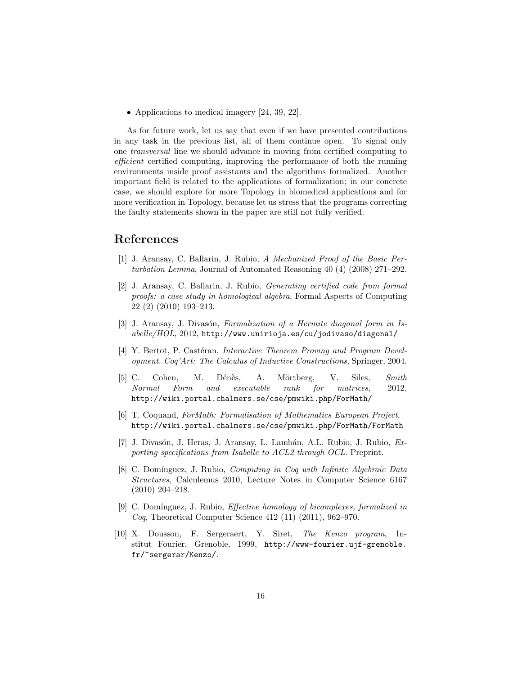• Applications to medical imagery [24, 39, 22].

As for future work, let us say that even if we have presented contributions in any task in the previous list, all of them continue open. To signal only one transversal line we should advance in moving from certified computing to efficient certified computing, improving the performance of both the running environments inside proof assistants and the algorithms formalized. Another important field is related to the applications of formalization; in our concrete case, we should explore for more Topology in biomedical applications and for more verification in Topology, because let us stress that the programs correcting the faulty statements shown in the paper are still not fully verified.

#### References

- [1] J. Aransay, C. Ballarin, J. Rubio, A Mechanized Proof of the Basic Perturbation Lemma, Journal of Automated Reasoning 40 (4) (2008) 271–292.
- [2] J. Aransay, C. Ballarin, J. Rubio, Generating certified code from formal proofs: a case study in homological algebra, Formal Aspects of Computing 22 (2) (2010) 193–213.
- [3] J. Aransay, J. Divasón, Formalization of a Hermite diagonal form in Is- $\emph{able/HOL}, 2012, \emph{http://www.unirioja.es/cu/jodivaso/diagonal/}$
- [4] Y. Bertot, P. Castéran, *Interactive Theorem Proving and Program Devel*opment. Coq'Art: The Calculus of Inductive Constructions, Springer, 2004.
- [5] C. Cohen, M. Dénès, A. Mörtberg, V. Siles, Smith Normal Form and executable rank for matrices, 2012, http://wiki.portal.chalmers.se/cse/pmwiki.php/ForMath/
- [6] T. Coquand, ForMath: Formalisation of Mathematics European Project, http://wiki.portal.chalmers.se/cse/pmwiki.php/ForMath/ForMath
- [7] J. Divasón, J. Heras, J. Aransay, L. Lambán, A.L. Rubio, J. Rubio, Exporting specifications from Isabelle to ACL2 through OCL. Preprint.
- [8] C. Domínguez, J. Rubio, *Computing in Coq with Infinite Algebraic Data* Structures, Calculemus 2010, Lecture Notes in Computer Science 6167 (2010) 204–218.
- [9] C. Domínguez, J. Rubio, *Effective homology of bicomplexes, formalized in Coq*, Theoretical Computer Science 412 (11) (2011), 962–970.
- [10] X. Dousson, F. Sergeraert, Y. Siret, The Kenzo program, Institut Fourier, Grenoble, 1999, http://www-fourier.ujf-grenoble. fr/~sergerar/Kenzo/.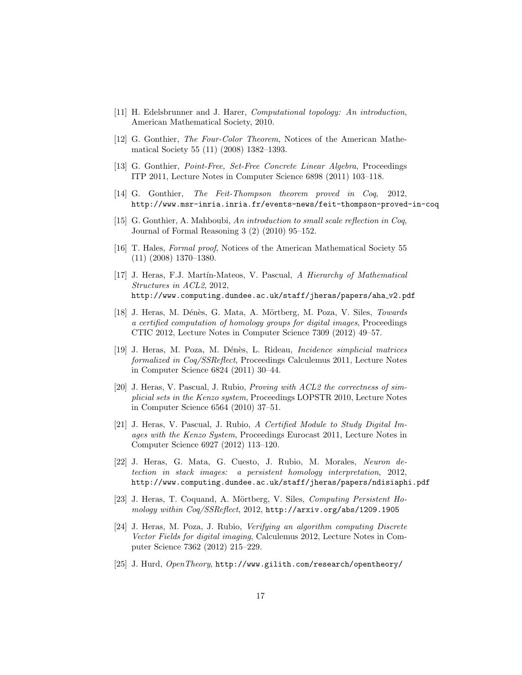- [11] H. Edelsbrunner and J. Harer, Computational topology: An introduction, American Mathematical Society, 2010.
- [12] G. Gonthier, The Four-Color Theorem, Notices of the American Mathematical Society 55 (11) (2008) 1382–1393.
- [13] G. Gonthier, Point-Free, Set-Free Concrete Linear Algebra, Proceedings ITP 2011, Lecture Notes in Computer Science 6898 (2011) 103–118.
- [14] G. Gonthier, The Feit-Thompson theorem proved in Coq, 2012, http://www.msr-inria.inria.fr/events-news/feit-thompson-proved-in-coq
- [15] G. Gonthier, A. Mahboubi, An introduction to small scale reflection in Coq, Journal of Formal Reasoning 3 (2) (2010) 95–152.
- [16] T. Hales, Formal proof, Notices of the American Mathematical Society 55 (11) (2008) 1370–1380.
- [17] J. Heras, F.J. Martín-Mateos, V. Pascual, A Hierarchy of Mathematical Structures in ACL2, 2012, http://www.computing.dundee.ac.uk/staff/jheras/papers/aha v2.pdf
- [18] J. Heras, M. Dénès, G. Mata, A. Mörtberg, M. Poza, V. Siles, Towards a certified computation of homology groups for digital images, Proceedings CTIC 2012, Lecture Notes in Computer Science 7309 (2012) 49–57.
- [19] J. Heras, M. Poza, M. Dénès, L. Rideau, *Incidence simplicial matrices* formalized in Coq/SSReflect, Proceedings Calculemus 2011, Lecture Notes in Computer Science 6824 (2011) 30–44.
- [20] J. Heras, V. Pascual, J. Rubio, Proving with ACL2 the correctness of simplicial sets in the Kenzo system, Proceedings LOPSTR 2010, Lecture Notes in Computer Science 6564 (2010) 37–51.
- [21] J. Heras, V. Pascual, J. Rubio, A Certified Module to Study Digital Images with the Kenzo System, Proceedings Eurocast 2011, Lecture Notes in Computer Science 6927 (2012) 113–120.
- [22] J. Heras, G. Mata, G. Cuesto, J. Rubio, M. Morales, Neuron detection in stack images: a persistent homology interpretation, 2012, http://www.computing.dundee.ac.uk/staff/jheras/papers/ndisiaphi.pdf
- [23] J. Heras, T. Coquand, A. Mörtberg, V. Siles, *Computing Persistent Ho*mology within Coq/SSReflect, 2012, http://arxiv.org/abs/1209.1905
- [24] J. Heras, M. Poza, J. Rubio, Verifying an algorithm computing Discrete Vector Fields for digital imaging, Calculemus 2012, Lecture Notes in Computer Science 7362 (2012) 215–229.
- [25] J. Hurd, OpenTheory, http://www.gilith.com/research/opentheory/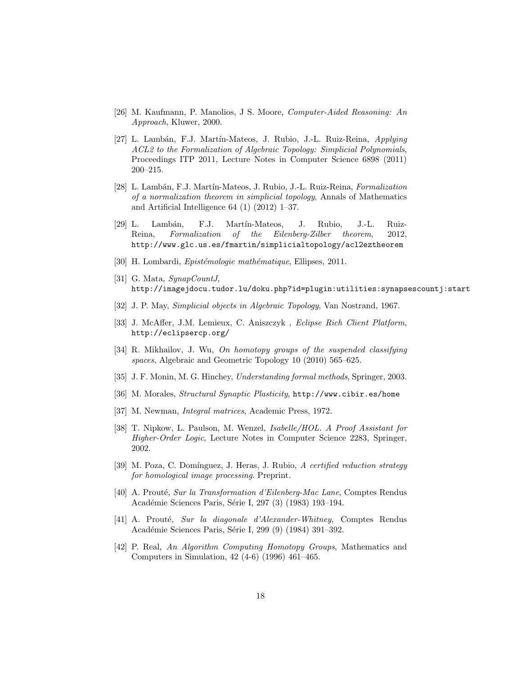- [26] M. Kaufmann, P. Manolios, J S. Moore, Computer-Aided Reasoning: An Approach, Kluwer, 2000.
- [27] L. Lambán, F.J. Martín-Mateos, J. Rubio, J.-L. Ruiz-Reina, Applying ACL2 to the Formalization of Algebraic Topology: Simplicial Polynomials, Proceedings ITP 2011, Lecture Notes in Computer Science 6898 (2011) 200–215.
- [28] L. Lambán, F.J. Martín-Mateos, J. Rubio, J.-L. Ruiz-Reina, Formalization of a normalization theorem in simplicial topology, Annals of Mathematics and Artificial Intelligence 64 (1) (2012) 1–37.
- [29] L. Lambán, F.J. Martín-Mateos, J. Rubio, J.-L. Ruiz-Reina, Formalization of the Eilenberg-Zilber theorem, 2012, http://www.glc.us.es/fmartin/simplicialtopology/acl2eztheorem
- [30] H. Lombardi, *Epistémologie mathématique*, Ellipses, 2011.
- [31] G. Mata, SynapCountJ, http://imagejdocu.tudor.lu/doku.php?id=plugin:utilities:synapsescountj:start
- [32] J. P. May, Simplicial objects in Algebraic Topology, Van Nostrand, 1967.
- [33] J. McAffer, J.M. Lemieux, C. Aniszczyk , Eclipse Rich Client Platform, http://eclipsercp.org/
- [34] R. Mikhailov, J. Wu, On homotopy groups of the suspended classifying spaces, Algebraic and Geometric Topology 10 (2010) 565–625.
- [35] J. F. Monin, M. G. Hinchey, Understanding formal methods, Springer, 2003.
- [36] M. Morales, Structural Synaptic Plasticity, http://www.cibir.es/home
- [37] M. Newman, Integral matrices, Academic Press, 1972.
- [38] T. Nipkow, L. Paulson, M. Wenzel, Isabelle/HOL. A Proof Assistant for Higher-Order Logic, Lecture Notes in Computer Science 2283, Springer, 2002.
- [39] M. Poza, C. Domínguez, J. Heras, J. Rubio, A certified reduction strategy for homological image processing. Preprint.
- [40] A. Prouté, Sur la Transformation d'Eilenberg-Mac Lane, Comptes Rendus Académie Sciences Paris, Série I, 297 (3) (1983) 193-194.
- [41] A. Prouté, Sur la diagonale d'Alexander-Whitney, Comptes Rendus Académie Sciences Paris, Série I, 299 (9) (1984) 391-392.
- [42] P. Real, An Algorithm Computing Homotopy Groups, Mathematics and Computers in Simulation, 42 (4-6) (1996) 461–465.